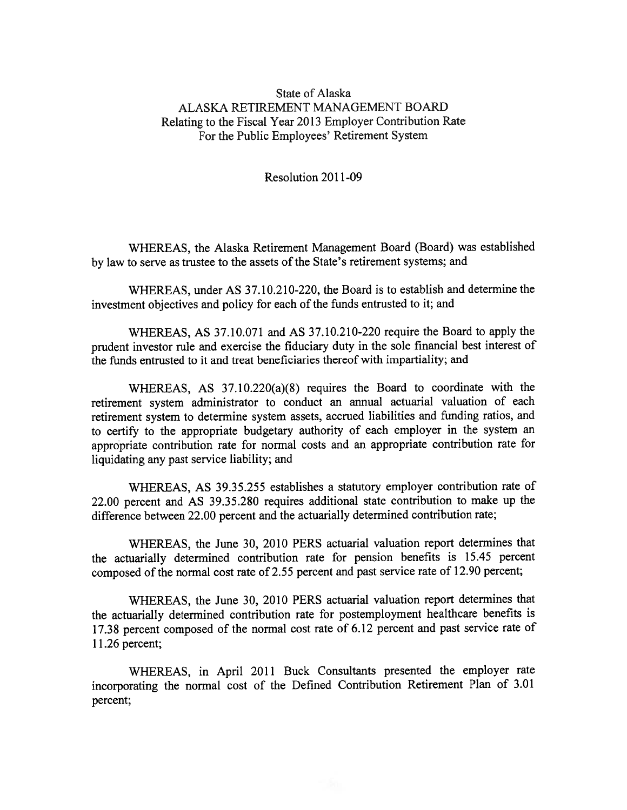## State of Alaska ALASKA RETIREMENT MANAGEMENT BOARD Relating to the Fiscal Year 2013 Employer Contribution Rate For the Public Employees' Retirement System

Resolution 2011-09

WHEREAS, the Alaska Retirement Management Board (Board) was established by law to serve as trustee to the assets of the State's retirement systems; and

WHEREAS, under AS 37.10.210-220, the Board is to establish and determine the investment objectives and policy for each of the funds entrusted to it; and

WHEREAS, AS 37.10.071 and AS 37.10.210-220 require the Board to apply the prudent investor rule and exercise the fiduciary duty in the sole financial best interest of the funds entrusted to it and treat beneficiaries thereof with impartiality; and

WHEREAS, AS 37.10.220(a)(8) requires the Board to coordinate with the retirement system administrator to conduct an annual actuarial valuation of each retirement system to determine system assets, accrued liabilities and funding ratios, and to certify to the appropriate budgetary authority of each employer in the system an appropriate contribution rate for normal costs and an appropriate contribution rate for liquidating any pas<sup>t</sup> service liability; and

WHEREAS, AS 39.35.255 establishes <sup>a</sup> statutory employer contribution rate of 22.00 percen<sup>t</sup> and AS 39.35.280 requires additional state contribution to make up the difference between 22.00 percen<sup>t</sup> and the actuarially determined contribution rate;

WHEREAS, the June 30, 2010 PERS actuarial valuation repor<sup>t</sup> determines that the actuarially determined contribution rate for pension benefits is 15.45 percen<sup>t</sup> compose<sup>d</sup> of the normal cost rate of 2.55 percen<sup>t</sup> and pas<sup>t</sup> service rate of 12.90 percent;

WHEREAS, the June 30, 2010 PERS actuarial valuation repor<sup>t</sup> determines that the actuarially determined contribution rate for postemployment healthcare benefits is 17.38 percen<sup>t</sup> compose<sup>d</sup> of the normal cost rate of 6.12 percen<sup>t</sup> and pas<sup>t</sup> service rate of 11.26 percent;

WHEREAS, in April <sup>2011</sup> Buck Consultants presented the employer rate incorporating the normal cost of the Defined Contribution Retirement Plan of 3.01 percent;